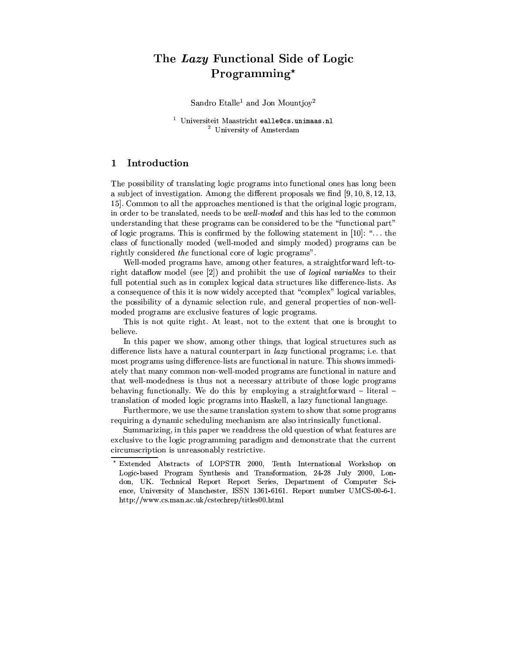# The Lazy Functional Side of Logic  $Programming<sup>*</sup>$

Sandro Etalle<sup>1</sup> and Jon Mountjoy<sup>2</sup>

<sup>1</sup> Universiteit Maastricht ealle@cs.unimaas.nl <sup>2</sup> University of Amsterdam

#### $\mathbf{1}$ Introduction

The possibility of translating logic programs into functional ones has long been a subject of investigation. Among the different proposals we find  $[9, 10, 8, 12, 13,$ 15. Common to all the approaches mentioned is that the original logic program, in order to be translated, needs to be well-moded and this has led to the common understanding that these programs can be considered to be the "functional part" of logic programs. This is confirmed by the following statement in [10]: "... the class of functionally moded (well-moded and simply moded) programs can be rightly considered the functional core of logic programs".

Well-moded programs have, among other features, a straightforward left-toright dataflow model (see [2]) and prohibit the use of logical variables to their full potential such as in complex logical data structures like difference-lists. As a consequence of this it is now widely accepted that "complex" logical variables, the possibility of a dynamic selection rule, and general properties of non-wellmoded programs are exclusive features of logic programs.

This is not quite right. At least, not to the extent that one is brought to believe.

In this paper we show, among other things, that logical structures such as difference lists have a natural counterpart in *lazy* functional programs; i.e. that most programs using difference-lists are functional in nature. This shows immediately that many common non-well-moded programs are functional in nature and that well-modedness is thus not a necessary attribute of those logic programs behaving functionally. We do this by employing a straightforward - literal translation of moded logic programs into Haskell, a lazy functional language.

Furthermore, we use the same translation system to show that some programs requiring a dynamic scheduling mechanism are also intrinsically functional.

Summarizing, in this paper we readdress the old question of what features are exclusive to the logic programming paradigm and demonstrate that the current circumscription is unreasonably restrictive.

Extended Abstracts of LOPSTR 2000, Tenth International Workshop on Logic-based Program Synthesis and Transformation, 24-28 July 2000, London, UK. Technical Report Report Series, Department of Computer Science, University of Manchester, ISSN 1361-6161. Report number UMCS-00-6-1. http://www.cs.man.ac.uk/cstechrep/titles00.html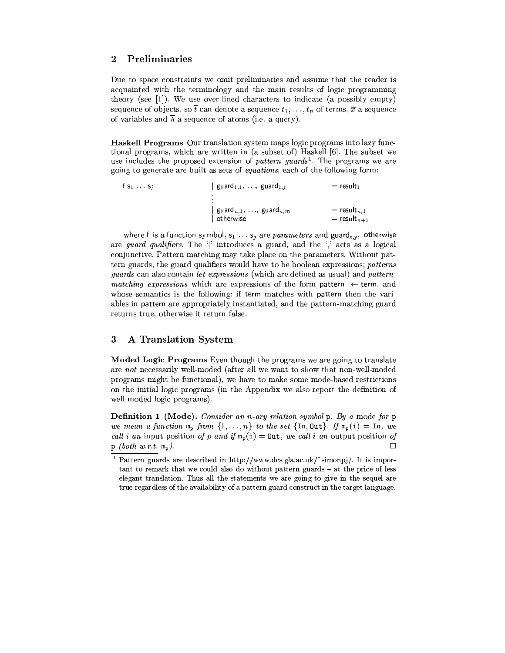### Preliminaries  $\overline{2}$

Due to space constraints we omit preliminaries and assume that the reader is acquainted with the terminology and the main results of logic programming theory (see [1]). We use over-lined characters to indicate (a possibly empty) sequence of objects, so  $\bar{t}$  can denote a sequence  $t_1, \ldots, t_n$  of terms,  $\bar{x}$  a sequence of variables and  $\overline{A}$  a sequence of atoms (i.e. a query).

Haskell Programs Our translation system maps logic programs into lazy functional programs, which are written in (a subset of) Haskell [6]. The subset we use includes the proposed extension of *pattern guards*<sup>1</sup>. The programs we are going to generate are built as sets of equations, each of the following form:

 $\begin{array}{lll} \mid \mathsf{guard}_{1,1}, \; \ldots, \; \mathsf{guard}_{1,j} & = \mathsf{result}_1 \\ \vdots & & & \\ \mid \mathsf{guard}_{n,1}, \; \ldots, \; \mathsf{guard}_{n,m} & = \mathsf{result}_{n,1} \\ \mid \mathsf{otherwise} & = \mathsf{result}_{n+} \end{array}$ f  $s_1 \ldots s_j$  $=$  result $_{n+1}$ 

where f is a function symbol,  $s_1 \ldots s_j$  are parameters and guard<sub>x,y</sub>, otherwise are *guard qualifiers*. The '|' introduces a guard, and the ',' acts as a logical conjunctive. Pattern matching may take place on the parameters. Without pattern guards, the guard qualifiers would have to be boolean expressions; patterns *quards* can also contain *let-expressions* (which are defined as usual) and *pattern*matching expressions which are expressions of the form pattern  $\leftarrow$  term, and whose semantics is the following: if term matches with pattern then the variables in pattern are appropriately instantiated, and the pattern-matching guard returns true, otherwise it return false.

#### $\bf{3}$ A Translation System

Moded Logic Programs Even though the programs we are going to translate are not necessarily well-moded (after all we want to show that non-well-moded programs might be functional), we have to make some mode-based restrictions on the initial logic programs (in the Appendix we also report the definition of well-moded logic programs).

Definition 1 (Mode). Consider an n-ary relation symbol p. By a mode for p we mean a function  $m_p$  from  $\{1,\ldots,n\}$  to the set  $\{\text{In},\text{Out}\}\$ . If  $m_p(i) = \text{In}, we$ call i an input position of p and if  $m_p(i) = 0$ ut, we call i an output position of  $p$  (both w.r.t.  $m_p$ ).

Pattern guards are described in http://www.dcs.gla.ac.uk/~simonpj/. It is impor- $\tau$  tant to remark that we could also do without pattern guards  $-\alpha$  the price of less elegant translation. Thus all the statements we are going to give in the sequel are true regardless of the availability of a pattern guard construct in the target language.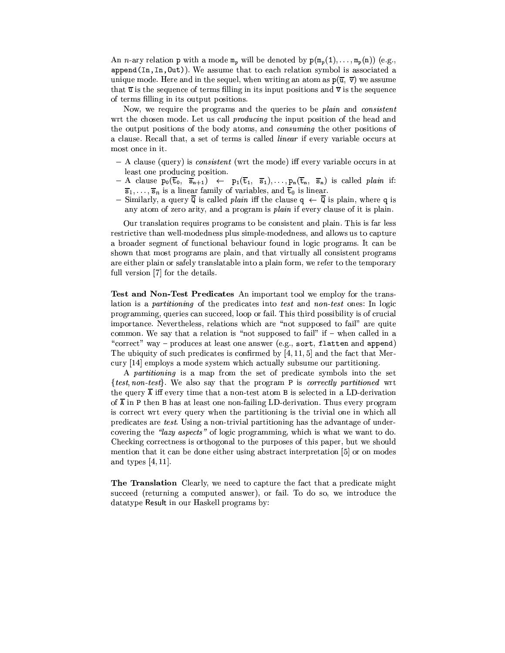An *n*-ary relation **p** with a mode  $m_p$  will be denoted by  $p(m_p(1),...,m_p(n))$  (e.g., append(In, In, Out)). We assume that to each relation symbol is associated a unique mode. Here and in the sequel, when writing an atom as  $p(\bar{u}, \bar{v})$  we assume that  $\overline{u}$  is the sequence of terms filling in its input positions and  $\overline{v}$  is the sequence of terms filling in its output positions.

Now, we require the programs and the queries to be *plain* and *consistent* wrt the chosen mode. Let us call *producing* the input position of the head and the output positions of the body atoms, and *consuming* the other positions of a clause. Recall that, a set of terms is called *linear* if every variable occurs at most once in it.

- A clause (query) is *consistent* (wrt the mode) iff every variable occurs in at least one producing position.
- $A$  clause  $p_0(\overline{t}_0, \overline{s}_{n+1}) \leftarrow p_1(\overline{t}_1, \overline{s}_1), \ldots, p_n(\overline{t}_n, \overline{s}_n)$  is called plain if:  $\overline{s}_1,\ldots,\overline{s}_n$  is a linear family of variables, and  $\overline{t}_0$  is linear.
- Similarly, a query  $\overline{Q}$  is called *plain* iff the clause  $q \leftarrow \overline{Q}$  is plain, where q is any atom of zero arity, and a program is *plain* if every clause of it is plain.

Our translation requires programs to be consistent and plain. This is far less restrictive than well-modedness plus simple-modedness, and allows us to capture a broader segment of functional behaviour found in logic programs. It can be shown that most programs are plain, and that virtually all consistent programs are either plain or safely translatable into a plain form, we refer to the temporary full version [7] for the details.

Test and Non-Test Predicates An important tool we employ for the translation is a *partitioning* of the predicates into test and *non-test* ones: In logic programming, queries can succeed, loop or fail. This third possibility is of crucial importance. Nevertheless, relations which are "not supposed to fail" are quite common. We say that a relation is "not supposed to fail" if  $-$  when called in a "correct" way – produces at least one answer (e.g., sort, flatten and append) The ubiquity of such predicates is confirmed by  $[4, 11, 5]$  and the fact that Mercury [14] employs a mode system which actually subsume our partitioning.

A partitioning is a map from the set of predicate symbols into the set {test, non-test}. We also say that the program P is correctly partitioned wrt the query  $\overline{A}$  iff every time that a non-test atom B is selected in a LD-derivation of  $\overline{A}$  in P then B has at least one non-failing LD-derivation. Thus every program is correct wrt every query when the partitioning is the trivial one in which all predicates are test. Using a non-trivial partitioning has the advantage of undercovering the "lazy aspects" of logic programming, which is what we want to do. Checking correctness is orthogonal to the purposes of this paper, but we should mention that it can be done either using abstract interpretation [5] or on modes and types  $[4, 11]$ .

The Translation Clearly, we need to capture the fact that a predicate might succeed (returning a computed answer), or fail. To do so, we introduce the datatype Result in our Haskell programs by: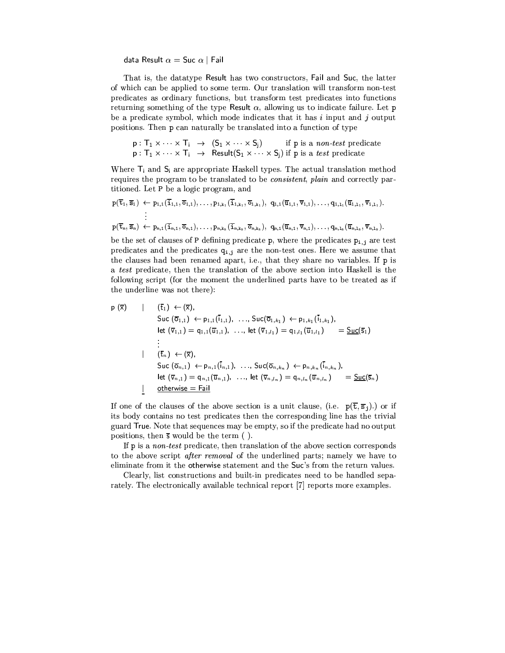data Result  $\alpha =$  Suc  $\alpha$  | Fail

That is, the datatype Result has two constructors, Fail and Suc, the latter of which can be applied to some term. Our translation will transform non-test predicates as ordinary functions, but transform test predicates into functions returning something of the type Result  $\alpha$ , allowing us to indicate failure. Let p be a predicate symbol, which mode indicates that it has  $i$  input and  $j$  output positions. Then p can naturally be translated into a function of type

 $\begin{array}{llll} \mathsf{p}: \mathsf{T}_1 \times \cdots \times \mathsf{T}_i & \rightarrow & ( \mathsf{S}_1 \times \cdots \times \mathsf{S}_j ) & \text{if $\mathsf{p}$ is a non-test predicate}\\ \mathsf{p}: \mathsf{T}_1 \times \cdots \times \mathsf{T}_i & \rightarrow & \mathsf{Result}(\mathsf{S}_1 \times \cdots \times \mathsf{S}_j ) & \text{if $\mathsf{p}$ is a test predicate} \end{array}$ 

Where  $T_i$  and  $S_i$  are appropriate Haskell types. The actual translation method requires the program to be translated to be *consistent*, plain and correctly partitioned. Let P be a logic program, and

$$
\begin{aligned} p(\overline{t}_1,\overline{s}_1) &\leftarrow p_{1,1}(\overline{1}_{1,1},\overline{o}_{1,1}),\ldots,p_{1,k_1}(\overline{1}_{1,k_1},\overline{o}_{1,k_1}),\ q_{1,1}(\overline{u}_{1,1},\overline{v}_{1,1}),\ldots,q_{1,1_1}(\overline{u}_{1,1_1},\overline{v}_{1,1_1}).\\ &\vdots\\ p(\overline{t}_n,\overline{s}_n) &\leftarrow p_{n,1}(\overline{i}_{n,1},\overline{o}_{n,1}),\ldots,p_{n,k_n}(\overline{i}_{n,k_n},\overline{o}_{n,k_n}),\ q_{n,1}(\overline{u}_{n,1},\overline{v}_{n,1}),\ldots,q_{n,1_n}(\overline{u}_{n,1_n},\overline{v}_{n,1_n}).\end{aligned}
$$

be the set of clauses of P defining predicate  $p$ , where the predicates  $p_{i,j}$  are test predicates and the predicates  $q_{i,j}$  are the non-test ones. Here we assume that the clauses had been renamed apart, i.e., that they share no variables. If p is a test predicate, then the translation of the above section into Haskell is the following script (for the moment the underlined parts have to be treated as if the underline was not there):

$$
\begin{array}{ll}\n\mathsf{p}(\overline{\mathsf{x}}) & | & (\overline{\mathsf{t}}_1) \leftarrow (\overline{\mathsf{x}}), \\
& \mathsf{Suc}(\overline{\mathsf{0}}_{1,1}) \leftarrow \mathsf{p}_{1,1}(\overline{\mathsf{i}}_{1,1}), \dots, \mathsf{Suc}(\overline{\mathsf{0}}_{1,k_1}) \leftarrow \mathsf{p}_{1,k_1}(\overline{\mathsf{i}}_{1,k_1}), \\
& \text{let } (\overline{\mathsf{v}}_{1,1}) = \mathsf{q}_{1,1}(\overline{\mathsf{u}}_{1,1}), \dots, \text{ let } (\overline{\mathsf{v}}_{1,l_1}) = \mathsf{q}_{1,l_1}(\overline{\mathsf{u}}_{1,l_1}) & = \underline{\mathsf{Suc}}(\overline{\mathsf{s}}_1) \\
& \vdots \\
\mathsf{f}_{n}(\overline{\mathsf{t}}_n) \leftarrow (\overline{\mathsf{x}}), \\
& \mathsf{Suc}(\overline{\mathsf{0}}_{n,1}) \leftarrow \mathsf{p}_{n,1}(\overline{\mathsf{i}}_{n,1}), \dots, \mathsf{Suc}(\overline{\mathsf{0}}_{n,k_n}) \leftarrow \mathsf{p}_{n,k_n}(\overline{\mathsf{i}}_{n,k_n}), \\
& \text{let } (\overline{\mathsf{v}}_{n,1}) = \mathsf{q}_{n,1}(\overline{\mathsf{u}}_{n,1}), \dots, \text{ let } (\overline{\mathsf{v}}_{n,l_n}) = \mathsf{q}_{n,l_n}(\overline{\mathsf{u}}_{n,l_n}) & = \underline{\mathsf{Suc}}(\overline{\mathsf{s}}_n) \\
& \text{otherwise} = \text{fail}\n\end{array}
$$

If one of the clauses of the above section is a unit clause, (i.e.  $p(\overline{t}, \overline{s}_i)$ .) or if its body contains no test predicates then the corresponding line has the trivial guard True. Note that sequences may be empty, so if the predicate had no output positions, then  $\overline{s}$  would be the term ().

If p is a *non-test* predicate, then translation of the above section corresponds to the above script *after removal* of the underlined parts; namely we have to eliminate from it the otherwise statement and the Suc's from the return values.

Clearly, list constructions and built-in predicates need to be handled separately. The electronically available technical report [7] reports more examples.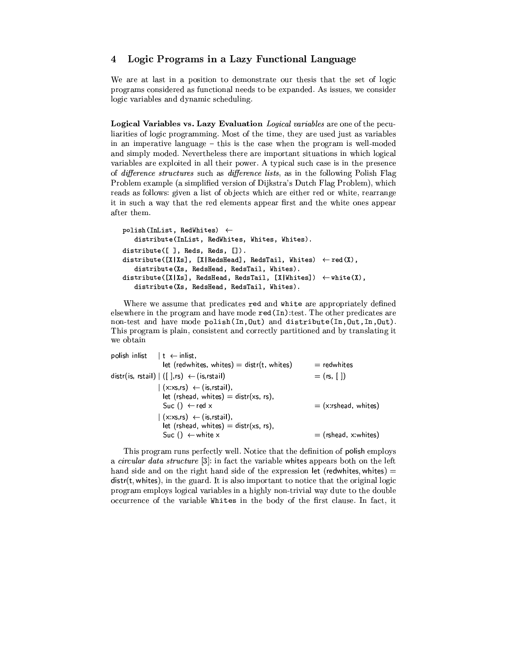#### Logic Programs in a Lazy Functional Language  $\overline{\mathbf{4}}$

We are at last in a position to demonstrate our thesis that the set of logic programs considered as functional needs to be expanded. As issues, we consider logic variables and dynamic scheduling.

Logical Variables vs. Lazy Evaluation Logical variables are one of the peculiarities of logic programming. Most of the time, they are used just as variables in an imperative language  $-$  this is the case when the program is well-moded and simply moded. Nevertheless there are important situations in which logical variables are exploited in all their power. A typical such case is in the presence of difference structures such as difference lists, as in the following Polish Flag Problem example (a simplified version of Dijkstra's Dutch Flag Problem), which reads as follows: given a list of objects which are either red or white, rearrange it in such a way that the red elements appear first and the white ones appear after them.

```
polish(InList, RedWhites) \leftarrowdistribute(InList, RedWhites, Whites, Whites).
distribute([], Reds, Reds, []).
distribute([X|Xs], [X|RedsHead], RedsTail, Whites) \leftarrow red(X),
   distribute(Xs, RedsHead, RedsTail, Whites).
distribute([X|Xs], RedsHead, RedsTail, [X|Whites]) \leftarrow white(X),
   distribute(Xs, RedsHead, RedsTail, Whites).
```
Where we assume that predicates red and white are appropriately defined elsewhere in the program and have mode red (In) : test. The other predicates are non-test and have mode polish(In, Out) and distribute(In, Out, In, Out). This program is plain, consistent and correctly partitioned and by translating it we obtain

| let (redwhites, whites) = $dist(t, white)$                                                                     | $=$ redwhites          |
|----------------------------------------------------------------------------------------------------------------|------------------------|
|                                                                                                                |                        |
| distr(is, rstail) $ $ ([],rs) $\leftarrow$ (is,rstail)                                                         | $=$ (rs, [ ])          |
| $(x:xs,rs) \leftarrow (is,rstail),$<br>let (rshead, whites) = $distr(xs, rs)$ ,<br>$Suc() \leftarrow red x$    | $=$ (x:rshead, whites) |
| $(x:xs,rs) \leftarrow (is,rstail),$<br>let (rshead, whites) = $distr(xs, rs)$ ,<br>Suc () $\leftarrow$ white x | $=$ (rshead, x:whites) |
|                                                                                                                |                        |

This program runs perfectly well. Notice that the definition of polish employs a circular data structure [3]: in fact the variable whites appears both on the left hand side and on the right hand side of the expression let (redwhites, whites)  $=$  $dist(t, \text{whites})$ , in the guard. It is also important to notice that the original logic program employs logical variables in a highly non-trivial way dute to the double occurrence of the variable Whites in the body of the first clause. In fact, it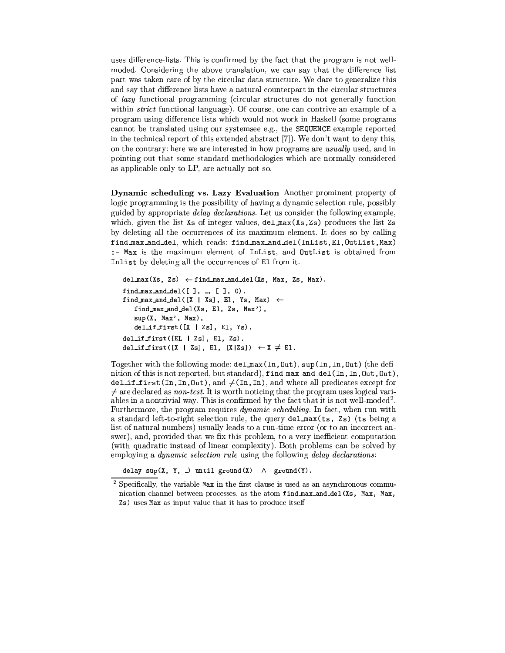uses difference-lists. This is confirmed by the fact that the program is not wellmoded. Considering the above translation, we can say that the difference list part was taken care of by the circular data structure. We dare to generalize this and say that difference lists have a natural counterpart in the circular structures of lazy functional programming (circular structures do not generally function within *strict* functional language). Of course, one can contrive an example of a program using difference-lists which would not work in Haskell (some programs cannot be translated using our systemsee e.g., the SEQUENCE example reported in the technical report of this extended abstract [7]). We don't want to deny this, on the contrary: here we are interested in how programs are *usually* used, and in pointing out that some standard methodologies which are normally considered as applicable only to LP, are actually not so.

Dynamic scheduling vs. Lazy Evaluation Another prominent property of logic programming is the possibility of having a dynamic selection rule, possibly guided by appropriate *delay declarations*. Let us consider the following example, which, given the list Xs of integer values, del\_max(Xs,Zs) produces the list Zs by deleting all the occurrences of its maximum element. It does so by calling find\_max\_and\_del, which reads: find\_max\_and\_del(InList,El,OutList,Max) :- Max is the maximum element of InList, and OutList is obtained from Inlist by deleting all the occurrences of El from it.

```
del_max(Xs, Zs) \leftarrow find_max_and-del(Xs, Max, Zs, Max).find_max_and_del([ ], _, [ ], 0).
find_max_and_del([X | Xs], El, Ys, Max) \leftarrowfind_max_and_del(Xs, El, Zs, Max'),
   sup(X, Max', Max),
   del\_if\_first([X | Zs], E1, Ys).del_if_first([EL | Zs], E1, Zs).
del_if_first([X | Zs], El, [X|Zs]) \leftarrow X \neq El.
```
Together with the following mode: del\_max(In, Out), sup(In, In, Out) (the definition of this is not reported, but standard), find\_max\_and\_del(In, In, Out, Out),  $del\_if\_first(In, In, Out), and \neq (In, In), and where all predicates except for$  $\neq$  are declared as *non-test*. It is worth noticing that the program uses logical variables in a nontrivial way. This is confirmed by the fact that it is not well-moded<sup>2</sup>. Furthermore, the program requires *dynamic scheduling*. In fact, when run with a standard left-to-right selection rule, the query del max (ts, Zs) (ts being a list of natural numbers) usually leads to a run-time error (or to an incorrect answer), and, provided that we fix this problem, to a very inefficient computation (with quadratic instead of linear complexity). Both problems can be solved by employing a *dynamic selection rule* using the following *delay declarations*:

delay sup(X, Y, \_) until ground(X)  $\wedge$  ground(Y).

 $2$  Specifically, the variable Max in the first clause is used as an asynchronous communication channel between processes, as the atom find\_max\_and\_del(Xs, Max, Max, Zs) uses Max as input value that it has to produce itself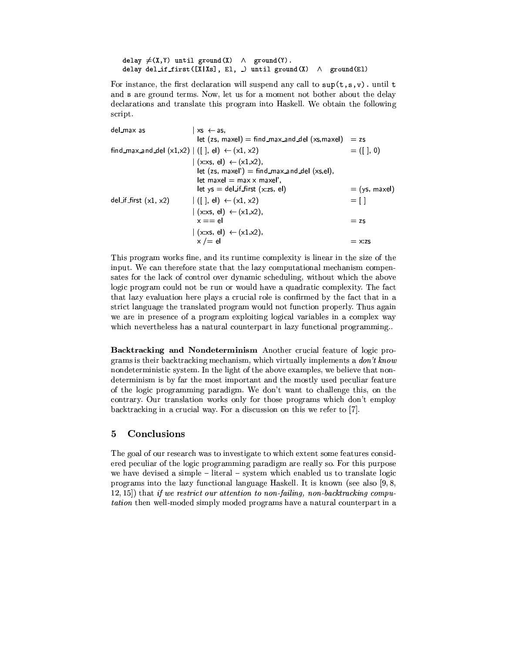```
delay \neq(X,Y) until ground(X) \land ground(Y).
delay del_if_first([X|Xs], El, _) until ground(X) \wedge ground(El)
```
For instance, the first declaration will suspend any call to  $\sup(t, s, v)$ . until t and s are ground terms. Now, let us for a moment not bother about the delay declarations and translate this program into Haskell. We obtain the following script.

| $xs \leftarrow as$                                               |                 |
|------------------------------------------------------------------|-----------------|
| $let (zs, maxel) = find_max_and-del (xs, maxel)$                 | $= zs$          |
| find_max_and_del $(x1,x2)$ $ $ ([ ], el) $\leftarrow$ $(x1, x2)$ | $= (1, 0)$      |
| $(x \times s, el) \leftarrow (x1, x2),$                          |                 |
| $let (zs, maxel') = find_max_and-del (xs, el),$                  |                 |
| $let$ maxel $=$ max x maxel'.                                    |                 |
| $let ys = del_jf_first (x:zs, el)$                               | $=$ (ys, maxel) |
| $ ([]$ , el) $\leftarrow$ (x1, x2)                               | $=$ [ ]         |
| $(x:xs, e) \leftarrow (x1,x2)$ ,                                 |                 |
| $x == e$                                                         | $=$ zs          |
| $(x:xs, el) \leftarrow (x1,x2),$                                 |                 |
| $x \neq e$                                                       | $=$ x:zs        |
|                                                                  |                 |

This program works fine, and its runtime complexity is linear in the size of the input. We can therefore state that the lazy computational mechanism compensates for the lack of control over dynamic scheduling, without which the above logic program could not be run or would have a quadratic complexity. The fact that lazy evaluation here plays a crucial role is confirmed by the fact that in a strict language the translated program would not function properly. Thus again we are in presence of a program exploiting logical variables in a complex way which nevertheless has a natural counterpart in lazy functional programming..

Backtracking and Nondeterminism Another crucial feature of logic programs is their backtracking mechanism, which virtually implements a  $don't know$ nondeterministic system. In the light of the above examples, we believe that nondeterminism is by far the most important and the mostly used peculiar feature of the logic programming paradigm. We don't want to challenge this, on the contrary. Our translation works only for those programs which don't employ backtracking in a crucial way. For a discussion on this we refer to [7].

#### $\overline{5}$ Conclusions

The goal of our research was to investigate to which extent some features considered peculiar of the logic programming paradigm are really so. For this purpose we have devised a simple - literal - system which enabled us to translate logic programs into the lazy functional language Haskell. It is known (see also  $[9, 8]$ ,  $(12, 15)$  that if we restrict our attention to non-failing, non-backtracking computation then well-moded simply moded programs have a natural counterpart in a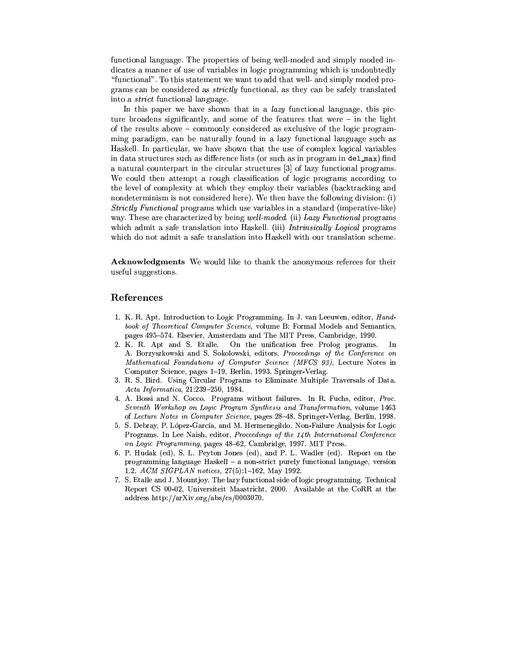functional language. The properties of being well-moded and simply moded indicates a manner of use of variables in logic programming which is undoubtedly "functional". To this statement we want to add that well- and simply moded programs can be considered as *strictly* functional, as they can be safely translated into a *strict* functional language.

In this paper we have shown that in a *lazy* functional language, this picture broadens significantly, and some of the features that were  $-$  in the light of the results above – commonly considered as exclusive of the logic programming paradigm, can be naturally found in a lazy functional language such as Haskell. In particular, we have shown that the use of complex logical variables in data structures such as difference lists (or such as in program in del\_max) find a natural counterpart in the circular structures [3] of lazy functional programs. We could then attempt a rough classification of logic programs according to the level of complexity at which they employ their variables (backtracking and nondeterminism is not considered here). We then have the following division: (i) Strictly Functional programs which use variables in a standard (imperative-like) way. These are characterized by being well-moded. (ii) Lazy Functional programs which admit a safe translation into Haskell. (iii) Intrinsically Logical programs which do not admit a safe translation into Haskell with our translation scheme.

Acknowledgments We would like to thank the anonymous referees for their useful suggestions.

## References

- 1. K. R. Apt. Introduction to Logic Programming. In J. van Leeuwen, editor, Handbook of Theoretical Computer Science, volume B: Formal Models and Semantics. pages 495-574. Elsevier, Amsterdam and The MIT Press, Cambridge, 1990.
- On the unification free Prolog programs. 2. K. R. Apt and S. Etalle. In A. Borzyszkowski and S. Sokolowski, editors, Proceedings of the Conference on Mathematical Foundations of Computer Science (MFCS 93), Lecture Notes in Computer Science, pages 1-19, Berlin, 1993. Springer-Verlag.
- 3. R. S. Bird. Using Circular Programs to Eliminate Multiple Traversals of Data. Acta Informatica, 21:239-250, 1984.
- 4. A. Bossi and N. Cocco. Programs without failures. In R. Fuchs, editor, Proc. Seventh Workshop on Logic Program Synthesis and Transformation, volume 1463 of Lecture Notes in Computer Science, pages 28-48. Springer-Verlag, Berlin, 1998.
- 5. S. Debray, P. López-García, and M. Hermenegildo. Non-Failure Analysis for Logic Programs. In Lee Naish, editor, Proceedings of the 14th International Conference on Logic Programming, pages 48-62, Cambridge, 1997. MIT Press.
- 6. P. Hudak (ed), S. L. Peyton Jones (ed), and P. L. Wadler (ed). Report on the programming language Haskell - a non-strict purely functional language, version 1.2. ACM SIGPLAN notices, 27(5):1-162, May 1992.
- 7. S. Etalle and J. Mountjoy. The lazy functional side of logic programming. Technical Report CS 00-02, Universiteit Maastricht, 2000. Available at the CoRR at the address http://arXiv.org/abs/cs/0003070.